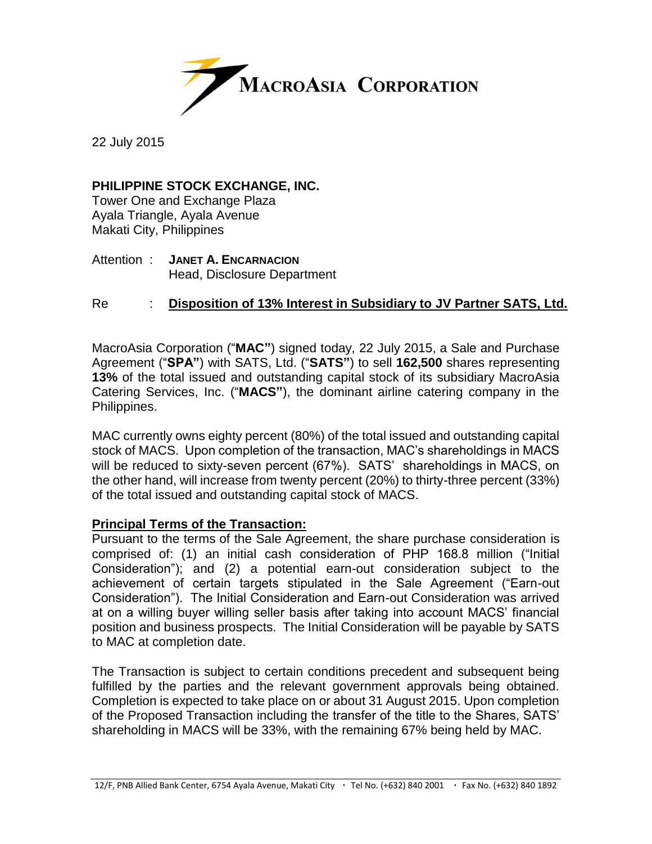

22 July 2015

# **PHILIPPINE STOCK EXCHANGE, INC.**

Tower One and Exchange Plaza Ayala Triangle, Ayala Avenue Makati City, Philippines

Attention : **JANET A. ENCARNACION** Head, Disclosure Department

# Re : **Disposition of 13% Interest in Subsidiary to JV Partner SATS, Ltd.**

MacroAsia Corporation ("**MAC"**) signed today, 22 July 2015, a Sale and Purchase Agreement ("**SPA"**) with SATS, Ltd. ("**SATS"**) to sell **162,500** shares representing **13%** of the total issued and outstanding capital stock of its subsidiary MacroAsia Catering Services, Inc. ("**MACS"**), the dominant airline catering company in the Philippines.

MAC currently owns eighty percent (80%) of the total issued and outstanding capital stock of MACS. Upon completion of the transaction, MAC's shareholdings in MACS will be reduced to sixty-seven percent (67%). SATS' shareholdings in MACS, on the other hand, will increase from twenty percent (20%) to thirty-three percent (33%) of the total issued and outstanding capital stock of MACS.

## **Principal Terms of the Transaction:**

Pursuant to the terms of the Sale Agreement, the share purchase consideration is comprised of: (1) an initial cash consideration of PHP 168.8 million ("Initial Consideration"); and (2) a potential earn-out consideration subject to the achievement of certain targets stipulated in the Sale Agreement ("Earn-out Consideration"). The Initial Consideration and Earn-out Consideration was arrived at on a willing buyer willing seller basis after taking into account MACS' financial position and business prospects. The Initial Consideration will be payable by SATS to MAC at completion date.

The Transaction is subject to certain conditions precedent and subsequent being fulfilled by the parties and the relevant government approvals being obtained. Completion is expected to take place on or about 31 August 2015. Upon completion of the Proposed Transaction including the transfer of the title to the Shares, SATS' shareholding in MACS will be 33%, with the remaining 67% being held by MAC.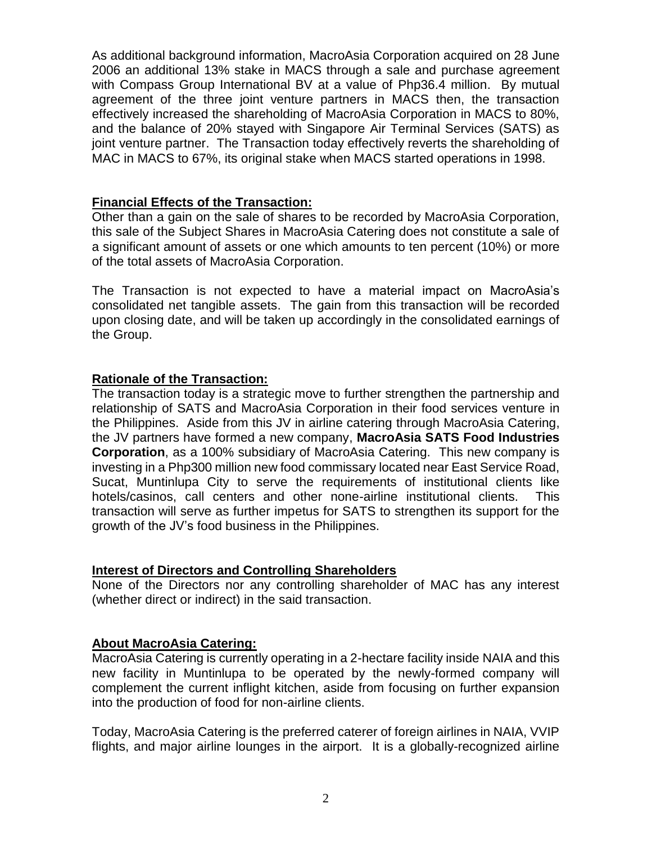As additional background information, MacroAsia Corporation acquired on 28 June 2006 an additional 13% stake in MACS through a sale and purchase agreement with Compass Group International BV at a value of Php36.4 million. By mutual agreement of the three joint venture partners in MACS then, the transaction effectively increased the shareholding of MacroAsia Corporation in MACS to 80%, and the balance of 20% stayed with Singapore Air Terminal Services (SATS) as joint venture partner. The Transaction today effectively reverts the shareholding of MAC in MACS to 67%, its original stake when MACS started operations in 1998.

### **Financial Effects of the Transaction:**

Other than a gain on the sale of shares to be recorded by MacroAsia Corporation, this sale of the Subject Shares in MacroAsia Catering does not constitute a sale of a significant amount of assets or one which amounts to ten percent (10%) or more of the total assets of MacroAsia Corporation.

The Transaction is not expected to have a material impact on MacroAsia's consolidated net tangible assets. The gain from this transaction will be recorded upon closing date, and will be taken up accordingly in the consolidated earnings of the Group.

#### **Rationale of the Transaction:**

The transaction today is a strategic move to further strengthen the partnership and relationship of SATS and MacroAsia Corporation in their food services venture in the Philippines. Aside from this JV in airline catering through MacroAsia Catering, the JV partners have formed a new company, **MacroAsia SATS Food Industries Corporation**, as a 100% subsidiary of MacroAsia Catering. This new company is investing in a Php300 million new food commissary located near East Service Road, Sucat, Muntinlupa City to serve the requirements of institutional clients like hotels/casinos, call centers and other none-airline institutional clients. This transaction will serve as further impetus for SATS to strengthen its support for the growth of the JV's food business in the Philippines.

#### **Interest of Directors and Controlling Shareholders**

None of the Directors nor any controlling shareholder of MAC has any interest (whether direct or indirect) in the said transaction.

## **About MacroAsia Catering:**

MacroAsia Catering is currently operating in a 2-hectare facility inside NAIA and this new facility in Muntinlupa to be operated by the newly-formed company will complement the current inflight kitchen, aside from focusing on further expansion into the production of food for non-airline clients.

Today, MacroAsia Catering is the preferred caterer of foreign airlines in NAIA, VVIP flights, and major airline lounges in the airport. It is a globally-recognized airline